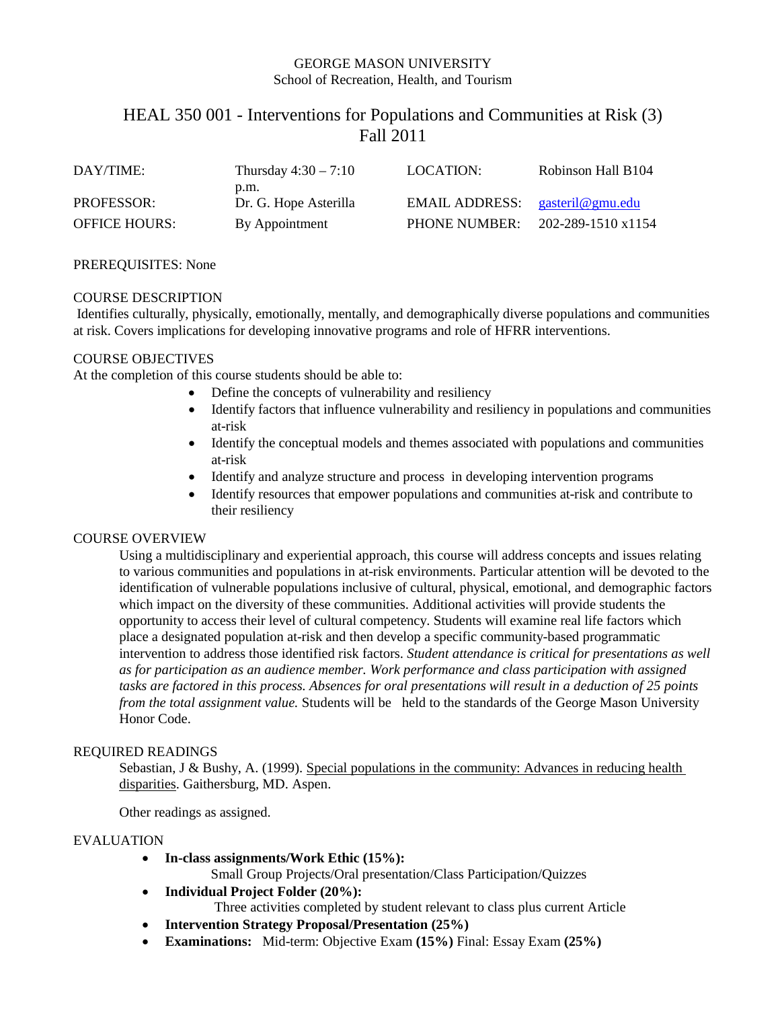# GEORGE MASON UNIVERSITY School of Recreation, Health, and Tourism

# HEAL 350 001 - Interventions for Populations and Communities at Risk (3) Fall 2011

| DAY/TIME:            | Thursday $4:30 - 7:10$ | LOCATION:                       | Robinson Hall B104 |
|----------------------|------------------------|---------------------------------|--------------------|
|                      | p.m.                   |                                 |                    |
| <b>PROFESSOR:</b>    | Dr. G. Hope Asterilla  | EMAIL ADDRESS: gasteril@gmu.edu |                    |
| <b>OFFICE HOURS:</b> | By Appointment         | <b>PHONE NUMBER:</b>            | 202-289-1510 x1154 |

## PREREQUISITES: None

## COURSE DESCRIPTION

Identifies culturally, physically, emotionally, mentally, and demographically diverse populations and communities at risk. Covers implications for developing innovative programs and role of HFRR interventions.

# COURSE OBJECTIVES

At the completion of this course students should be able to:

- Define the concepts of vulnerability and resiliency
- Identify factors that influence vulnerability and resiliency in populations and communities at-risk
- Identify the conceptual models and themes associated with populations and communities at-risk
- Identify and analyze structure and process in developing intervention programs
- Identify resources that empower populations and communities at-risk and contribute to their resiliency

# COURSE OVERVIEW

Using a multidisciplinary and experiential approach, this course will address concepts and issues relating to various communities and populations in at-risk environments. Particular attention will be devoted to the identification of vulnerable populations inclusive of cultural, physical, emotional, and demographic factors which impact on the diversity of these communities. Additional activities will provide students the opportunity to access their level of cultural competency. Students will examine real life factors which place a designated population at-risk and then develop a specific community-based programmatic intervention to address those identified risk factors. *Student attendance is critical for presentations as well as for participation as an audience member. Work performance and class participation with assigned tasks are factored in this process. Absences for oral presentations will result in a deduction of 25 points from the total assignment value.* Students will be held to the standards of the George Mason University Honor Code.

## REQUIRED READINGS

Sebastian, J & Bushy, A. (1999). Special populations in the community: Advances in reducing health disparities. Gaithersburg, MD. Aspen.

Other readings as assigned.

#### EVALUATION

• **In-class assignments/Work Ethic (15%):**

Small Group Projects/Oral presentation/Class Participation/Quizzes

- **Individual Project Folder (20%):**
	- Three activities completed by student relevant to class plus current Article
- **Intervention Strategy Proposal/Presentation (25%)**
- **Examinations:** Mid-term: Objective Exam **(15%)** Final: Essay Exam **(25%)**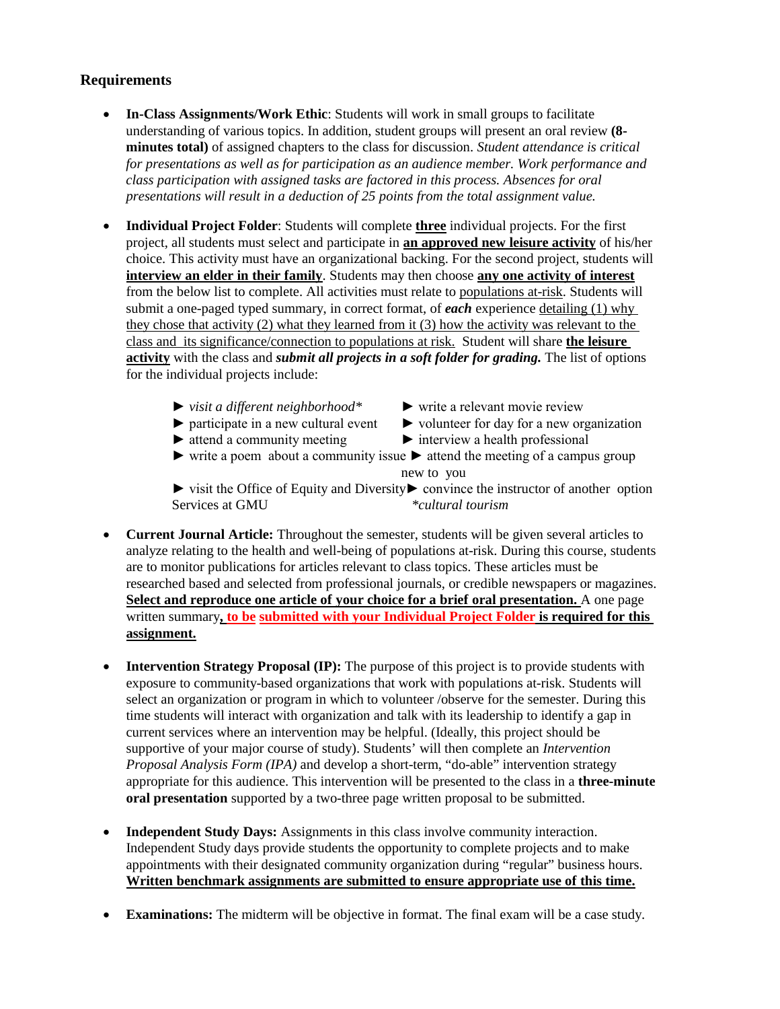# **Requirements**

- **In-Class Assignments/Work Ethic**: Students will work in small groups to facilitate understanding of various topics. In addition, student groups will present an oral review **(8 minutes total)** of assigned chapters to the class for discussion. *Student attendance is critical for presentations as well as for participation as an audience member. Work performance and class participation with assigned tasks are factored in this process. Absences for oral presentations will result in a deduction of 25 points from the total assignment value.*
- **Individual Project Folder**: Students will complete **three** individual projects. For the first project, all students must select and participate in **an approved new leisure activity** of his/her choice. This activity must have an organizational backing. For the second project, students will **interview an elder in their family**. Students may then choose **any one activity of interest** from the below list to complete. All activities must relate to populations at-risk. Students will submit a one-paged typed summary, in correct format, of *each* experience detailing (1) why they chose that activity (2) what they learned from it (3) how the activity was relevant to the class and its significance/connection to populations at risk. Student will share **the leisure activity** with the class and *submit all projects in a soft folder for grading.* The list of options for the individual projects include:
	- ► *visit a different neighborhood\** ► write a relevant movie review
	-
- 
- $\triangleright$  participate in a new cultural event  $\triangleright$  volunteer for day for a new organization
- ► attend a community meeting ► interview a health professional
- $\triangleright$  write a poem about a community issue  $\triangleright$  attend the meeting of a campus group new to you

► visit the Office of Equity and Diversity► convince the instructor of another option Services at GMU *\*cultural tourism*

- **Current Journal Article:** Throughout the semester, students will be given several articles to analyze relating to the health and well-being of populations at-risk. During this course, students are to monitor publications for articles relevant to class topics. These articles must be researched based and selected from professional journals, or credible newspapers or magazines. **Select and reproduce one article of your choice for a brief oral presentation.** A one page written summary**, to be submitted with your Individual Project Folder is required for this assignment.**
- **Intervention Strategy Proposal (IP):** The purpose of this project is to provide students with exposure to community-based organizations that work with populations at-risk. Students will select an organization or program in which to volunteer /observe for the semester. During this time students will interact with organization and talk with its leadership to identify a gap in current services where an intervention may be helpful. (Ideally, this project should be supportive of your major course of study). Students' will then complete an *Intervention Proposal Analysis Form (IPA)* and develop a short-term, "do-able" intervention strategy appropriate for this audience. This intervention will be presented to the class in a **three-minute oral presentation** supported by a two-three page written proposal to be submitted.
- **Independent Study Days:** Assignments in this class involve community interaction. Independent Study days provide students the opportunity to complete projects and to make appointments with their designated community organization during "regular" business hours. **Written benchmark assignments are submitted to ensure appropriate use of this time.**
- **Examinations:** The midterm will be objective in format. The final exam will be a case study.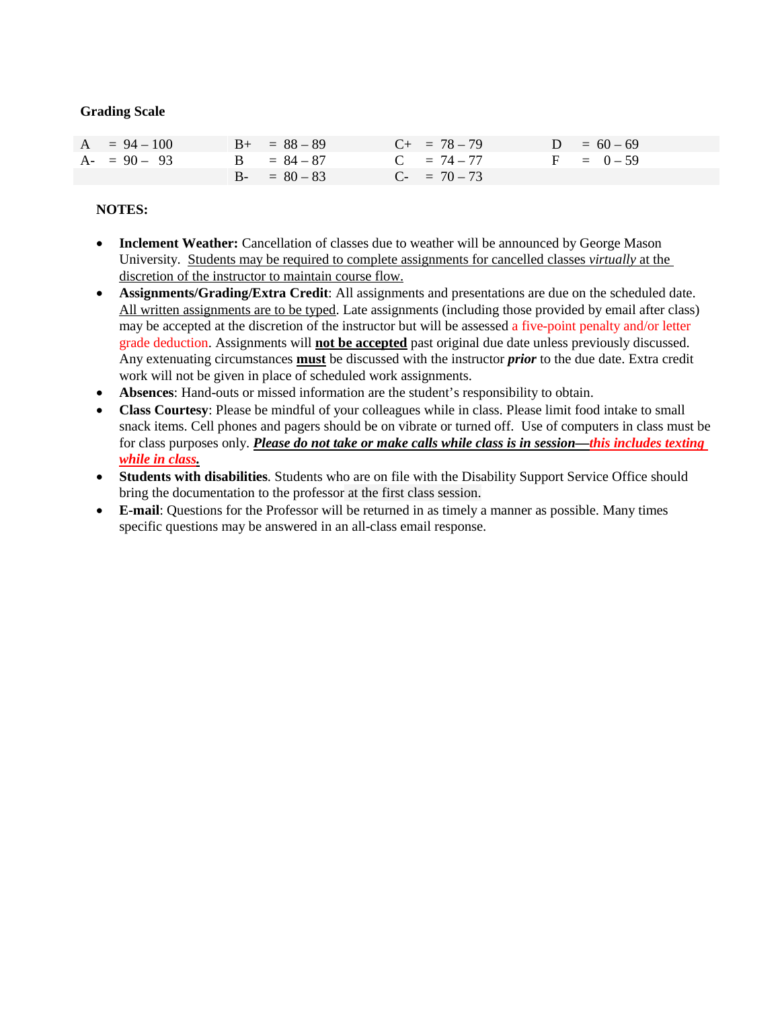# **Grading Scale**

| $A = 94 - 100$ | $B_{+} = 88 - 89$ | $C_{+}$ = 78 - 79 | $D = 60 - 69$ |
|----------------|-------------------|-------------------|---------------|
| $A - 90 - 93$  | $B = 84 - 87$     | $C = 74 - 77$     | $F = 0-59$    |
|                | $B - = 80 - 83$   | $C_{-}$ = 70 – 73 |               |

# **NOTES:**

- **Inclement Weather:** Cancellation of classes due to weather will be announced by George Mason University. Students may be required to complete assignments for cancelled classes *virtually* at the discretion of the instructor to maintain course flow.
- **Assignments/Grading/Extra Credit**: All assignments and presentations are due on the scheduled date. All written assignments are to be typed. Late assignments (including those provided by email after class) may be accepted at the discretion of the instructor but will be assessed a five-point penalty and/or letter grade deduction. Assignments will **not be accepted** past original due date unless previously discussed. Any extenuating circumstances **must** be discussed with the instructor *prior* to the due date. Extra credit work will not be given in place of scheduled work assignments.
- **Absences**: Hand-outs or missed information are the student's responsibility to obtain.
- **Class Courtesy**: Please be mindful of your colleagues while in class. Please limit food intake to small snack items. Cell phones and pagers should be on vibrate or turned off. Use of computers in class must be for class purposes only. *Please do not take or make calls while class is in session—this includes texting while in class.*
- **Students with disabilities**. Students who are on file with the Disability Support Service Office should bring the documentation to the professor at the first class session.
- **E-mail**: Questions for the Professor will be returned in as timely a manner as possible. Many times specific questions may be answered in an all-class email response.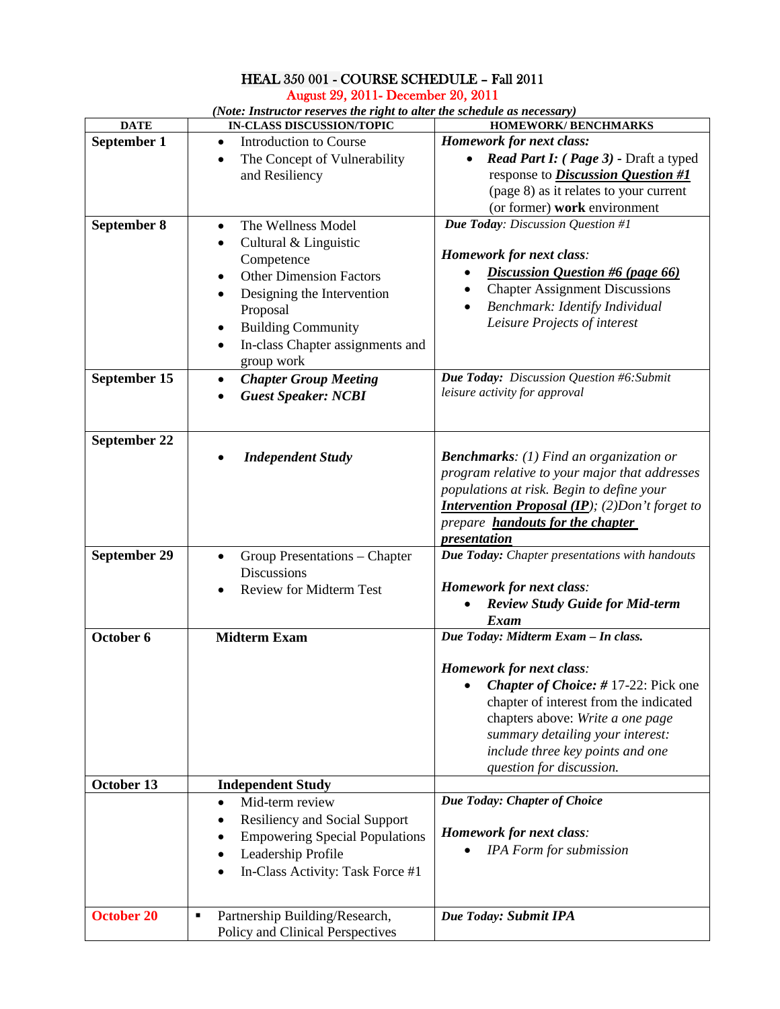# HEAL 350 001 - COURSE SCHEDULE – Fall 2011 August 29, 2011- December 20, 2011

| <b>DATE</b>       | IN-CLASS DISCUSSION/TOPIC                   | HOMEWORK/ BENCHMARKS                                   |
|-------------------|---------------------------------------------|--------------------------------------------------------|
| September 1       | <b>Introduction to Course</b><br>$\bullet$  | <b>Homework for next class:</b>                        |
|                   | The Concept of Vulnerability                | Read Part I: (Page 3) - Draft a typed                  |
|                   | and Resiliency                              | response to <i>Discussion Question</i> #1              |
|                   |                                             | (page 8) as it relates to your current                 |
|                   |                                             |                                                        |
|                   |                                             | (or former) work environment                           |
| September 8       | The Wellness Model<br>$\bullet$             | Due Today: Discussion Question #1                      |
|                   | Cultural & Linguistic<br>٠                  |                                                        |
|                   | Competence                                  | <b>Homework for next class:</b>                        |
|                   | <b>Other Dimension Factors</b><br>$\bullet$ | Discussion Question #6 (page 66)                       |
|                   | Designing the Intervention                  | <b>Chapter Assignment Discussions</b>                  |
|                   | Proposal                                    | Benchmark: Identify Individual<br>$\bullet$            |
|                   |                                             | Leisure Projects of interest                           |
|                   | <b>Building Community</b>                   |                                                        |
|                   | In-class Chapter assignments and<br>٠       |                                                        |
|                   | group work                                  |                                                        |
| September 15      | <b>Chapter Group Meeting</b><br>٠           | Due Today: Discussion Question #6: Submit              |
|                   | <b>Guest Speaker: NCBI</b>                  | leisure activity for approval                          |
|                   |                                             |                                                        |
|                   |                                             |                                                        |
| September 22      |                                             |                                                        |
|                   | <b>Independent Study</b>                    | <b>Benchmarks:</b> (1) Find an organization or         |
|                   |                                             | program relative to your major that addresses          |
|                   |                                             | populations at risk. Begin to define your              |
|                   |                                             | <b>Intervention Proposal (IP);</b> (2) Don't forget to |
|                   |                                             | prepare <b>handouts for the chapter</b>                |
|                   |                                             | presentation                                           |
| September 29      | Group Presentations - Chapter<br>٠          | Due Today: Chapter presentations with handouts         |
|                   | <b>Discussions</b>                          |                                                        |
|                   | <b>Review for Midterm Test</b>              | <b>Homework for next class:</b>                        |
|                   |                                             | <b>Review Study Guide for Mid-term</b>                 |
|                   |                                             | Exam                                                   |
| October 6         | <b>Midterm Exam</b>                         | Due Today: Midterm Exam - In class.                    |
|                   |                                             |                                                        |
|                   |                                             | <b>Homework for next class:</b>                        |
|                   |                                             | Chapter of Choice: #17-22: Pick one                    |
|                   |                                             | chapter of interest from the indicated                 |
|                   |                                             | chapters above: Write a one page                       |
|                   |                                             | summary detailing your interest:                       |
|                   |                                             |                                                        |
|                   |                                             | include three key points and one                       |
|                   |                                             | question for discussion.                               |
| October 13        | <b>Independent Study</b>                    |                                                        |
|                   | Mid-term review<br>$\bullet$                | Due Today: Chapter of Choice                           |
|                   | <b>Resiliency and Social Support</b>        |                                                        |
|                   | <b>Empowering Special Populations</b>       | Homework for next class:                               |
|                   | Leadership Profile                          | IPA Form for submission                                |
|                   | In-Class Activity: Task Force #1            |                                                        |
|                   |                                             |                                                        |
|                   |                                             |                                                        |
| <b>October 20</b> | Partnership Building/Research,<br>Ξ         | Due Today: Submit IPA                                  |
|                   | Policy and Clinical Perspectives            |                                                        |

*(Note: Instructor reserves the right to alter the schedule as necessary)*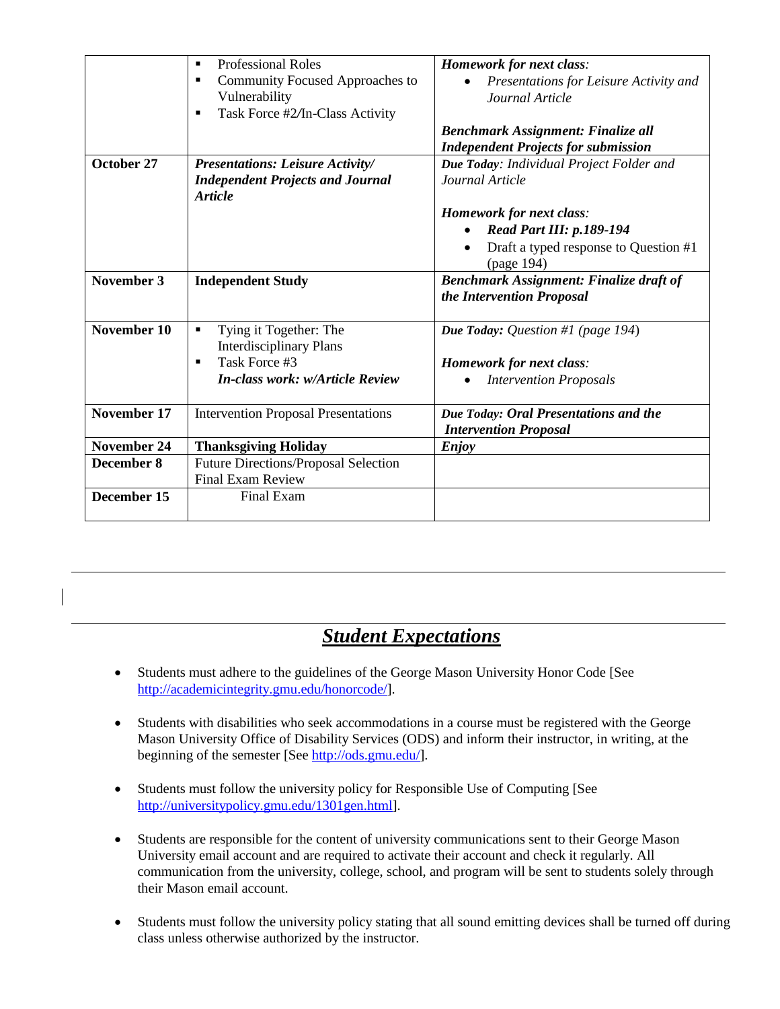|                    | <b>Professional Roles</b><br>$\blacksquare$                                                                                                | <b>Homework for next class:</b>                                                                                           |
|--------------------|--------------------------------------------------------------------------------------------------------------------------------------------|---------------------------------------------------------------------------------------------------------------------------|
|                    | Community Focused Approaches to<br>п<br>Vulnerability<br>Task Force #2/In-Class Activity                                                   | Presentations for Leisure Activity and<br>Journal Article                                                                 |
|                    |                                                                                                                                            | <b>Benchmark Assignment: Finalize all</b><br><b>Independent Projects for submission</b>                                   |
| October 27         | <b>Presentations: Leisure Activity/</b><br><b>Independent Projects and Journal</b><br><b>Article</b>                                       | Due Today: Individual Project Folder and<br>Journal Article                                                               |
|                    |                                                                                                                                            | <b>Homework for next class:</b><br><b>Read Part III: p.189-194</b><br>Draft a typed response to Question #1<br>(page 194) |
| November 3         | <b>Independent Study</b>                                                                                                                   | <b>Benchmark Assignment: Finalize draft of</b><br>the Intervention Proposal                                               |
| November 10        | Tying it Together: The<br>٠<br><b>Interdisciplinary Plans</b><br>Task Force #3<br>$\blacksquare$<br><b>In-class work: w/Article Review</b> | <b>Due Today:</b> Question #1 (page 194)<br><b>Homework for next class:</b><br><b>Intervention Proposals</b>              |
| November 17        | <b>Intervention Proposal Presentations</b>                                                                                                 | Due Today: Oral Presentations and the<br><b>Intervention Proposal</b>                                                     |
| <b>November 24</b> | <b>Thanksgiving Holiday</b>                                                                                                                | <b>Enjoy</b>                                                                                                              |
| December 8         | <b>Future Directions/Proposal Selection</b><br><b>Final Exam Review</b>                                                                    |                                                                                                                           |
| December 15        | <b>Final Exam</b>                                                                                                                          |                                                                                                                           |

# *Student Expectations*

- Students must adhere to the guidelines of the George Mason University Honor Code [See [http://academicintegrity.gmu.edu/honorcode/\]](http://academicintegrity.gmu.edu/honorcode/).
- Students with disabilities who seek accommodations in a course must be registered with the George Mason University Office of Disability Services (ODS) and inform their instructor, in writing, at the beginning of the semester [See [http://ods.gmu.edu/\]](http://ods.gmu.edu/).
- Students must follow the university policy for Responsible Use of Computing [See [http://universitypolicy.gmu.edu/1301gen.html\]](http://universitypolicy.gmu.edu/1301gen.html).
- Students are responsible for the content of university communications sent to their George Mason University email account and are required to activate their account and check it regularly. All communication from the university, college, school, and program will be sent to students solely through their Mason email account.
- Students must follow the university policy stating that all sound emitting devices shall be turned off during class unless otherwise authorized by the instructor.